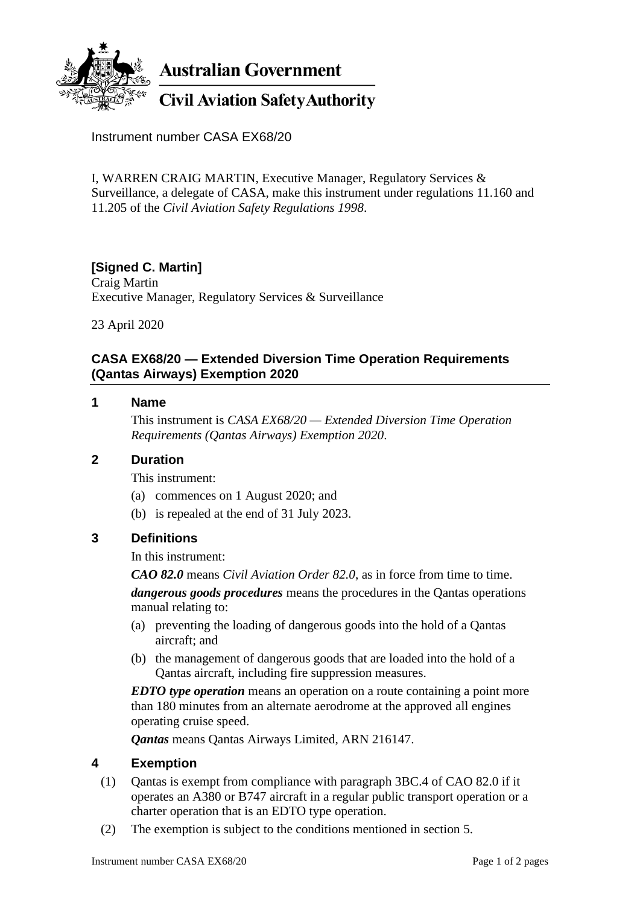

**Australian Government** 

# **Civil Aviation Safety Authority**

Instrument number CASA EX68/20

I, WARREN CRAIG MARTIN, Executive Manager, Regulatory Services & Surveillance, a delegate of CASA*,* make this instrument under regulations 11.160 and 11.205 of the *Civil Aviation Safety Regulations 1998*.

## **[Signed C. Martin]**

Craig Martin Executive Manager, Regulatory Services & Surveillance

23 April 2020

## **CASA EX68/20 — Extended Diversion Time Operation Requirements (Qantas Airways) Exemption 2020**

#### **1 Name**

This instrument is *CASA EX68/20 — Extended Diversion Time Operation Requirements (Qantas Airways) Exemption 2020*.

### **2 Duration**

This instrument:

- (a) commences on 1 August 2020; and
- (b) is repealed at the end of 31 July 2023.

### **3 Definitions**

In this instrument:

*CAO 82.0* means *Civil Aviation Order 82.0*, as in force from time to time.

*dangerous goods procedures* means the procedures in the Qantas operations manual relating to:

- (a) preventing the loading of dangerous goods into the hold of a Qantas aircraft; and
- (b) the management of dangerous goods that are loaded into the hold of a Qantas aircraft, including fire suppression measures.

*EDTO type operation* means an operation on a route containing a point more than 180 minutes from an alternate aerodrome at the approved all engines operating cruise speed.

*Qantas* means Qantas Airways Limited, ARN 216147.

### **4 Exemption**

- (1) Qantas is exempt from compliance with paragraph 3BC.4 of CAO 82.0 if it operates an A380 or B747 aircraft in a regular public transport operation or a charter operation that is an EDTO type operation.
- (2) The exemption is subject to the conditions mentioned in section 5.